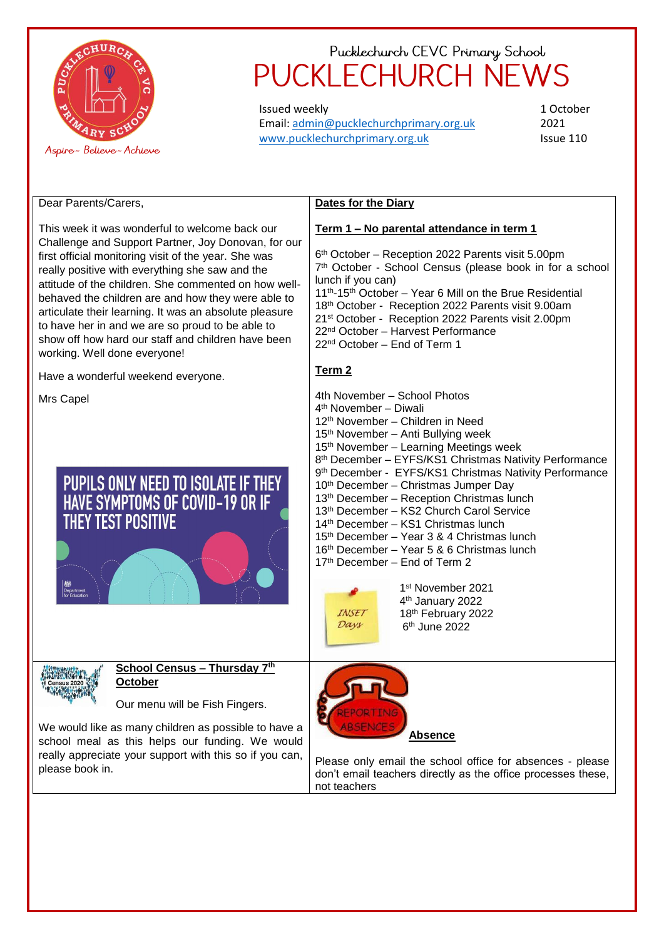

Issued weekly Email: [admin@pucklechurchprimary.org.uk](mailto:admin@pucklechurchprimary.org.uk) [www.pucklechurchprimary.org.uk](http://www.pucklechurchprimary.org.uk/)

**Dates for the Diary**

1 October 2021 Issue 110

#### Dear Parents/Carers,

This week it was wonderful to welcome back our Challenge and Support Partner, Joy Donovan, for our first official monitoring visit of the year. She was really positive with everything she saw and the attitude of the children. She commented on how wellbehaved the children are and how they were able to articulate their learning. It was an absolute pleasure to have her in and we are so proud to be able to show off how hard our staff and children have been working. Well done everyone!

Have a wonderful weekend everyone.

Mrs Capel

### PUPILS ONLY NEED TO ISOLATE IF THEY HAVE SYMPTOMS OF COVID-19 OR IF **THEY TEST POSITIVE**



#### **School Census – Thursday 7th October**

Our menu will be Fish Fingers.

We would like as many children as possible to have a school meal as this helps our funding. We would really appreciate your support with this so if you can, please book in.



Please only email the school office for absences - please don't email teachers directly as the office processes these, not teachers

 th October – Reception 2022 Parents visit 5.00pm th October - School Census (please book in for a school lunch if you can) th-15th October – Year 6 Mill on the Brue Residential 18<sup>th</sup> October - Reception 2022 Parents visit 9.00am st October - Reception 2022 Parents visit 2.00pm nd October – Harvest Performance

**Term 1 – No parental attendance in term 1**

22nd October – End of Term 1

### **Term 2**

4th November – School Photos th November – Diwali th November – Children in Need th November – Anti Bullying week th November – Learning Meetings week 8<sup>th</sup> December - EYFS/KS1 Christmas Nativity Performance 9<sup>th</sup> December - EYFS/KS1 Christmas Nativity Performance th December – Christmas Jumper Day th December – Reception Christmas lunch th December – KS2 Church Carol Service th December – KS1 Christmas lunch 15<sup>th</sup> December – Year 3 & 4 Christmas lunch th December – Year 5 & 6 Christmas lunch 17<sup>th</sup> December – End of Term 2 st November 2021 th January 2022



18th February 2022 6 th June 2022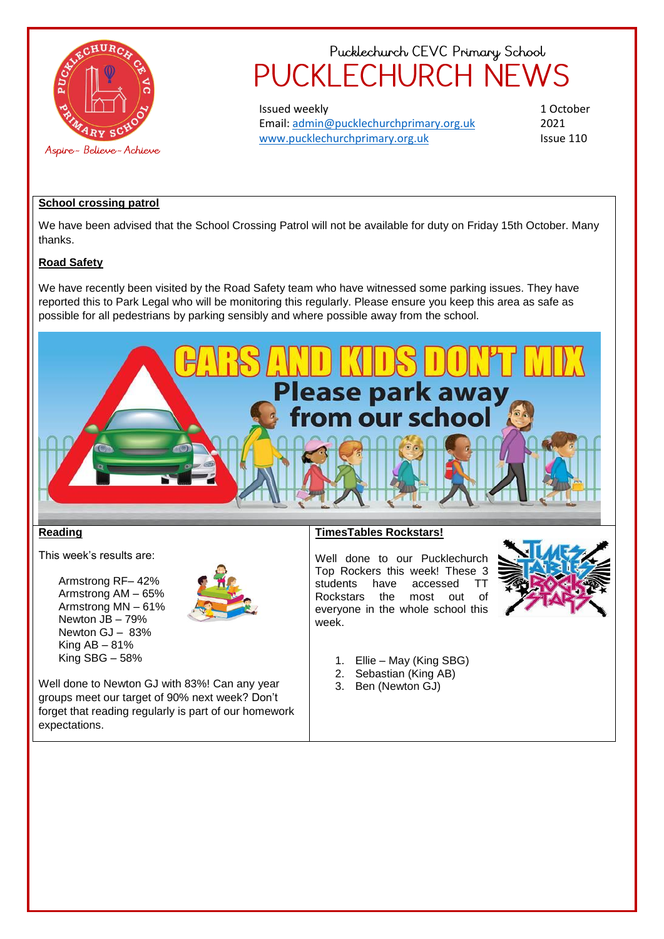

Issued weekly Email: [admin@pucklechurchprimary.org.uk](mailto:admin@pucklechurchprimary.org.uk) [www.pucklechurchprimary.org.uk](http://www.pucklechurchprimary.org.uk/)

1 October 2021 Issue 110

#### **School crossing patrol**

We have been advised that the School Crossing Patrol will not be available for duty on Friday 15th October. Many thanks.

#### **Road Safety**

We have recently been visited by the Road Safety team who have witnessed some parking issues. They have reported this to Park Legal who will be monitoring this regularly. Please ensure you keep this area as safe as possible for all pedestrians by parking sensibly and where possible away from the school.



#### **Reading**

This week's results are:

Armstrong RF– 42% Armstrong AM – 65% Armstrong MN – 61% Newton JB – 79% Newton GJ – 83% King AB – 81% King SBG – 58%



Well done to Newton GJ with 83%! Can any year groups meet our target of 90% next week? Don't forget that reading regularly is part of our homework expectations.

#### **TimesTables Rockstars!**

Well done to our Pucklechurch Top Rockers this week! These 3 students have accessed TT Rockstars the most out of everyone in the whole school this week.



- 1. Ellie May (King SBG)
- 2. Sebastian (King AB)
- 3. Ben (Newton GJ)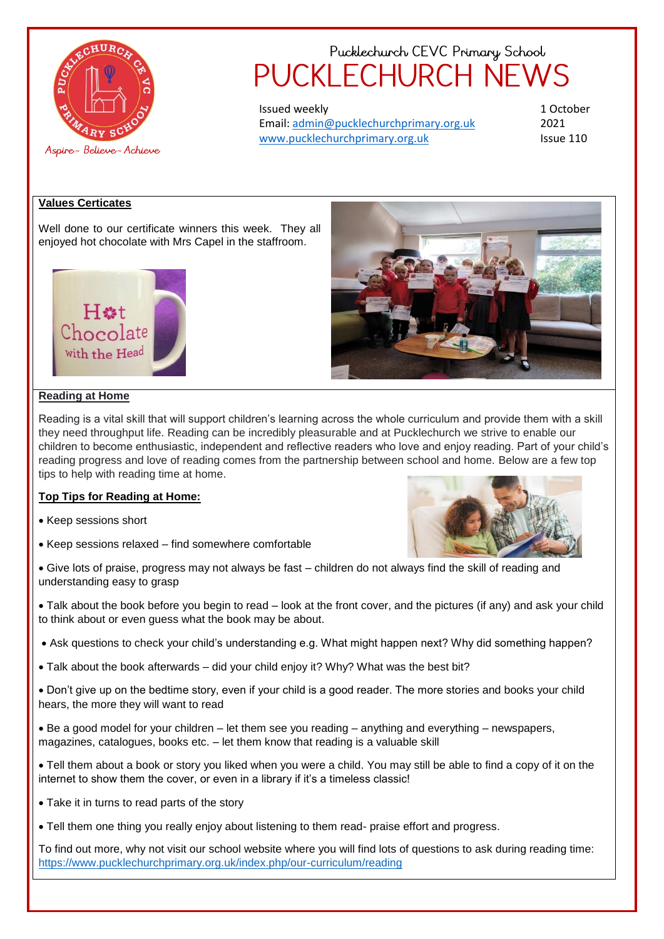

Issued weekly Email: [admin@pucklechurchprimary.org.uk](mailto:admin@pucklechurchprimary.org.uk) [www.pucklechurchprimary.org.uk](http://www.pucklechurchprimary.org.uk/)

1 October 2021 Issue 110

#### **Values Certicates**

Well done to our certificate winners this week. They all enjoyed hot chocolate with Mrs Capel in the staffroom.





#### **Reading at Home**

Reading is a vital skill that will support children's learning across the whole curriculum and provide them with a skill they need throughput life. Reading can be incredibly pleasurable and at Pucklechurch we strive to enable our children to become enthusiastic, independent and reflective readers who love and enjoy reading. Part of your child's reading progress and love of reading comes from the partnership between school and home. Below are a few top tips to help with reading time at home.

#### **Top Tips for Reading at Home:**

- Keep sessions short
- Keep sessions relaxed find somewhere comfortable



 Give lots of praise, progress may not always be fast – children do not always find the skill of reading and understanding easy to grasp

 Talk about the book before you begin to read – look at the front cover, and the pictures (if any) and ask your child to think about or even guess what the book may be about.

- Ask questions to check your child's understanding e.g. What might happen next? Why did something happen?
- Talk about the book afterwards did your child enjoy it? Why? What was the best bit?

 Don't give up on the bedtime story, even if your child is a good reader. The more stories and books your child hears, the more they will want to read

 Be a good model for your children – let them see you reading – anything and everything – newspapers, magazines, catalogues, books etc. – let them know that reading is a valuable skill

- Tell them about a book or story you liked when you were a child. You may still be able to find a copy of it on the internet to show them the cover, or even in a library if it's a timeless classic!
- Take it in turns to read parts of the story
- Tell them one thing you really enjoy about listening to them read- praise effort and progress.

To find out more, why not visit our school website where you will find lots of questions to ask during reading time: <https://www.pucklechurchprimary.org.uk/index.php/our-curriculum/reading>